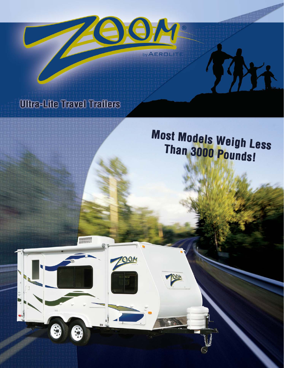

## **Ultra-Lite Travel Trailers**

OOM

# **Most Models Weigh Less** Than 3000 Pounds!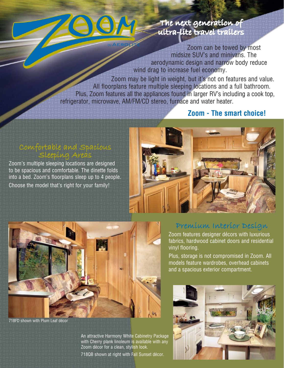

### The next generation of ultra-lite travel trailers

Zoom can be towed by most midsize SUV's and minivans. The aerodynamic design and narrow body reduce wind drag to increase fuel economy.

Zoom may be light in weight, but it's not on features and value. All floorplans feature multiple sleeping locations and a full bathroom. Plus, Zoom features all the appliances found in larger RV's including a cook top, refrigerator, microwave, AM/FM/CD stereo, furnace and water heater.

### **Zoom - The smart choice!**

# Comfortable and Spacious<br>Sleeping Areas

Zoom's multiple sleeping locations are designed to be spacious and comfortable. The dinette folds into a bed. Zoom's floorplans sleep up to 4 people. Choose the model that's right for your family!





718FD shown with Plum Leaf décor

An attractive Harmony White Cabinetry Package with Cherry plank linoleum is available with any Zoom décor for a clean, stylish look.

718QB shown at right with Fall Sunset décor.

### Premium Interior Design

Zoom features designer décors with luxurious fabrics, hardwood cabinet doors and residential vinyl flooring.

Plus, storage is not compromised in Zoom. All models feature wardrobes, overhead cabinets and a spacious exterior compartment.

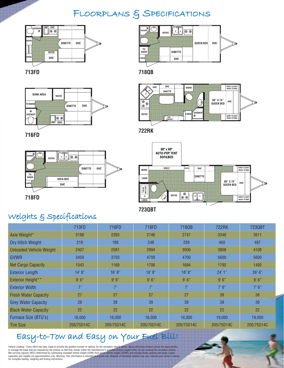### FLOORPLANS & SPECIFICATIONS





**713FD**



**OHC OHC SHIRT CLOSET NIGHT STAND WARD DINETTE**  $\frac{1}{2}$ **60" X 74"**  $\begin{tabular}{|c|c|} \hline $\circ$ & $\circ$ \\ \hline $\circ$ & $\circ$ \\ \hline \end{tabular}$ ⊕ **OHC QUEEN BED** কৈ **LINEN SHOWER REFER SHIRT CLOSET NIGHT STAND ENT. CENTER**

**722RK**

**723QBT**

**716FD**











## Weights & Specifications

|                                | 713FD      | 716FD       | 718FD      | 718QB      | <b>722RK</b> | 723QBT     |
|--------------------------------|------------|-------------|------------|------------|--------------|------------|
| Axle Weight*                   | 2188       | 2393        | 2746       | 2747       | 3348         | 3611       |
| Dry Hitch Weight               | 219        | 188         | 248        | 259        | 460          | 497        |
| <b>Unloaded Vehicle Weight</b> | 2407       | 2581        | 2994       | 3006       | 3808         | 4108       |
| <b>GVWR</b>                    | 3450       | 3750        | 4700       | 4700       | 5600         | 5600       |
| <b>Net Cargo Capacity</b>      | 1043       | 1169        | 1706       | 1694       | 1792         | 1492       |
| <b>Exterior Length</b>         | 14' 8''    | 16' 8''     | 18' 8''    | 18' 8"     | 24'1"        | 26' 6''    |
| Exterior Height**              | 9'6''      | 9'6"        | 9'6"       | 9'6''      | 9'6''        | 9'6''      |
| <b>Exterior Width</b>          | 7'         | $7^{\circ}$ | 7'         | 7'         | 7'6''        | 7'6''      |
| <b>Fresh Water Capacity</b>    | 27         | 27          | 27         | 27         | 38           | 38         |
| <b>Grey Water Capacity</b>     | 28         | 28          | 39         | 39         | 39           | 39         |
| <b>Black Water Capacity</b>    | 22         | 22          | 22         | 22         | 22           | 22         |
| Furnace Size (BTU's)           | 16,000     | 16.000      | 16,000     | 16,000     | 19,000       | 19,000     |
| <b>Tire Size</b>               | 205/75D14C | 205/75D14C  | 205/75D14C | 205/75D14C | 205/75D14C   | 205/75D14C |

## Easy-to-Tow and Easy on Your Fuel Bill!

Vehicle Loading – Every effort has been made to provide the greatest number of options for the recreation vehicle owner. Along with these choices comes the responsibility<br>to manage the loads that are imposed by the choices for complete loading, weighing and towing instructions.